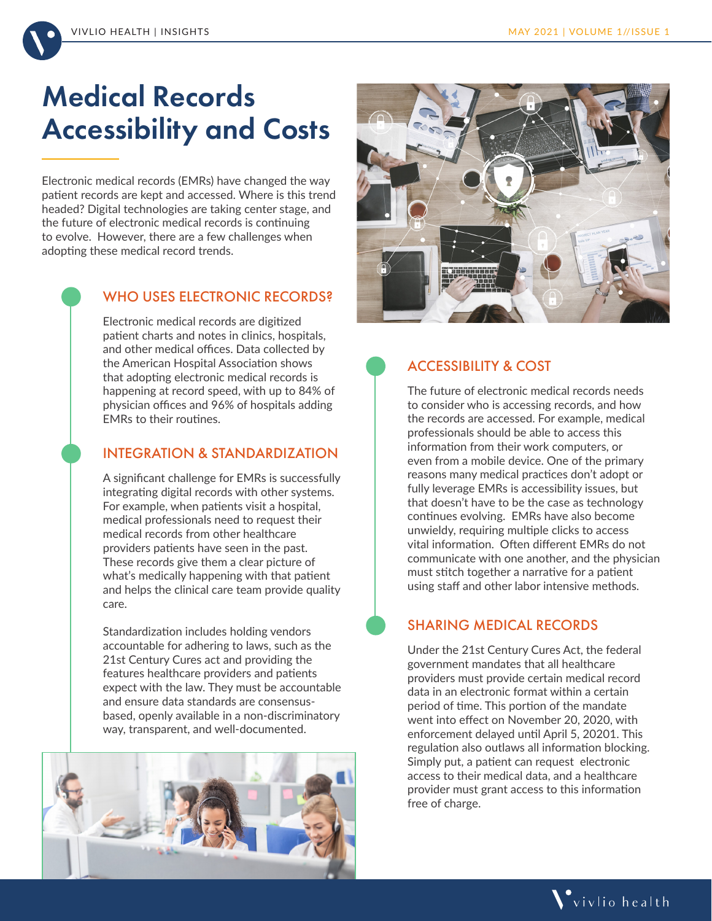

# Medical Records Accessibility and Costs

Electronic medical records (EMRs) have changed the way patient records are kept and accessed. Where is this trend headed? Digital technologies are taking center stage, and the future of electronic medical records is continuing to evolve. However, there are a few challenges when adopting these medical record trends.

## WHO USES ELECTRONIC RECORDS?

Electronic medical records are digitized patient charts and notes in clinics, hospitals, and other medical offices. Data collected by the American Hospital Association shows that adopting electronic medical records is happening at record speed, with up to 84% of physician offices and 96% of hospitals adding EMRs to their routines.

### INTEGRATION & STANDARDIZATION

A significant challenge for EMRs is successfully integrating digital records with other systems. For example, when patients visit a hospital, medical professionals need to request their medical records from other healthcare providers patients have seen in the past. These records give them a clear picture of what's medically happening with that patient and helps the clinical care team provide quality care.

Standardization includes holding vendors accountable for adhering to laws, such as the 21st Century Cures act and providing the features healthcare providers and patients expect with the law. They must be accountable and ensure data standards are consensusbased, openly available in a non-discriminatory way, transparent, and well-documented.





# ACCESSIBILITY & COST

The future of electronic medical records needs to consider who is accessing records, and how the records are accessed. For example, medical professionals should be able to access this information from their work computers, or even from a mobile device. One of the primary reasons many medical practices don't adopt or fully leverage EMRs is accessibility issues, but that doesn't have to be the case as technology continues evolving. EMRs have also become unwieldy, requiring multiple clicks to access vital information. Often different EMRs do not communicate with one another, and the physician must stitch together a narrative for a patient using staff and other labor intensive methods.

# SHARING MEDICAL RECORDS

Under the 21st Century Cures Act, the federal government mandates that all healthcare providers must provide certain medical record data in an electronic format within a certain period of time. This portion of the mandate went into effect on November 20, 2020, with enforcement delayed until April 5, 20201. This regulation also outlaws all information blocking. Simply put, a patient can request electronic access to their medical data, and a healthcare provider must grant access to this information free of charge.